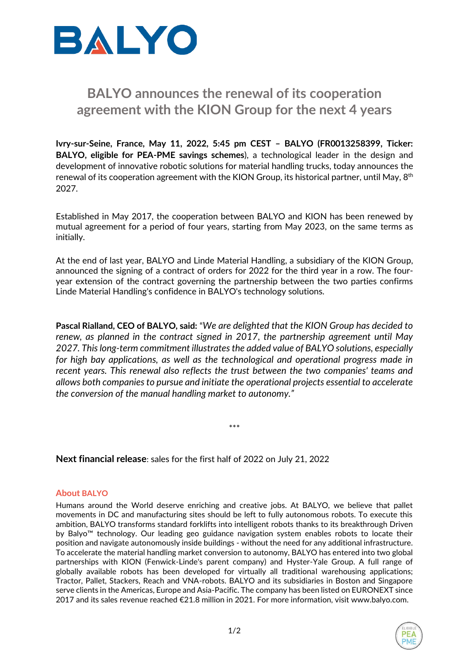

## **BALYO announces the renewal of its cooperation agreement with the KION Group for the next 4 years**

**Ivry-sur-Seine, France, May 11, 2022, 5:45 pm CEST – BALYO (FR0013258399, Ticker: BALYO, eligible for PEA-PME savings schemes**), a technological leader in the design and development of innovative robotic solutions for material handling trucks, today announces the renewal of its cooperation agreement with the KION Group, its historical partner, until May,  $8<sup>th</sup>$ 2027.

Established in May 2017, the cooperation between BALYO and KION has been renewed by mutual agreement for a period of four years, starting from May 2023, on the same terms as initially.

At the end of last year, BALYO and Linde Material Handling, a subsidiary of the KION Group, announced the signing of a contract of orders for 2022 for the third year in a row. The fouryear extension of the contract governing the partnership between the two parties confirms Linde Material Handling's confidence in BALYO's technology solutions.

**Pascal Rialland, CEO of BALYO, said:** "*We are delighted that the KION Group has decided to renew, as planned in the contract signed in 2017, the partnership agreement until May 2027. This long-term commitment illustrates the added value of BALYO solutions, especially for high bay applications, as well as the technological and operational progress made in recent years. This renewal also reflects the trust between the two companies' teams and allows both companies to pursue and initiate the operational projects essential to accelerate the conversion of the manual handling market to autonomy."*

\*\*\*

**Next financial release**: sales for the first half of 2022 on July 21, 2022

## **About BALYO**

Humans around the World deserve enriching and creative jobs. At BALYO, we believe that pallet movements in DC and manufacturing sites should be left to fully autonomous robots. To execute this ambition, BALYO transforms standard forklifts into intelligent robots thanks to its breakthrough Driven by Balyo™ technology. Our leading geo guidance navigation system enables robots to locate their position and navigate autonomously inside buildings - without the need for any additional infrastructure. To accelerate the material handling market conversion to autonomy, BALYO has entered into two global partnerships with KION (Fenwick-Linde's parent company) and Hyster-Yale Group. A full range of globally available robots has been developed for virtually all traditional warehousing applications; Tractor, Pallet, Stackers, Reach and VNA-robots. BALYO and its subsidiaries in Boston and Singapore serve clients in the Americas, Europe and Asia-Pacific. The company has been listed on EURONEXT since 2017 and its sales revenue reached €21.8 million in 2021. For more information, visit [www.balyo.com.](http://www.balyo.com/)